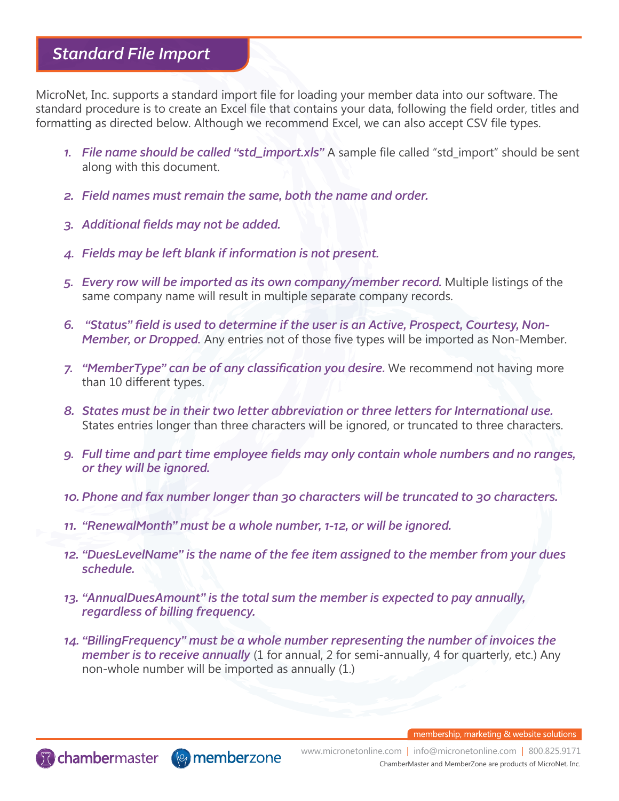## *Standard File Import*

MicroNet, Inc. supports a standard import file for loading your member data into our software. The standard procedure is to create an Excel file that contains your data, following the field order, titles and formatting as directed below. Although we recommend Excel, we can also accept CSV file types.

- *1. File name should be called "std\_import.xls"* A sample file called "std\_import" should be sent along with this document.
- *2. Field names must remain the same, both the name and order.*
- *3. Additional fields may not be added.*

**To chambermaster** (**v**) memberzone

- *4. Fields may be left blank if information is not present.*
- *5. Every row will be imported as its own company/member record.* Multiple listings of the same company name will result in multiple separate company records.
- *6. "Status" field is used to determine if the user is an Active, Prospect, Courtesy, Non-Member, or Dropped.* Any entries not of those five types will be imported as Non-Member.
- *7. "MemberType" can be of any classification you desire.* We recommend not having more than 10 different types.
- *8. States must be in their two letter abbreviation or three letters for International use.*  States entries longer than three characters will be ignored, or truncated to three characters.
- *9. Full time and part time employee fields may only contain whole numbers and no ranges, or they will be ignored.*
- *10. Phone and fax number longer than 30 characters will be truncated to 30 characters.*
- *11. "RenewalMonth" must be a whole number, 1-12, or will be ignored.*
- *12. "DuesLevelName" is the name of the fee item assigned to the member from your dues schedule.*
- *13. "AnnualDuesAmount" is the total sum the member is expected to pay annually, regardless of billing frequency.*
- *14. "BillingFrequency" must be a whole number representing the number of invoices the member is to receive annually* (1 for annual, 2 for semi-annually, 4 for quarterly, etc.) Any non-whole number will be imported as annually (1.)

membership, marketing & website solutions